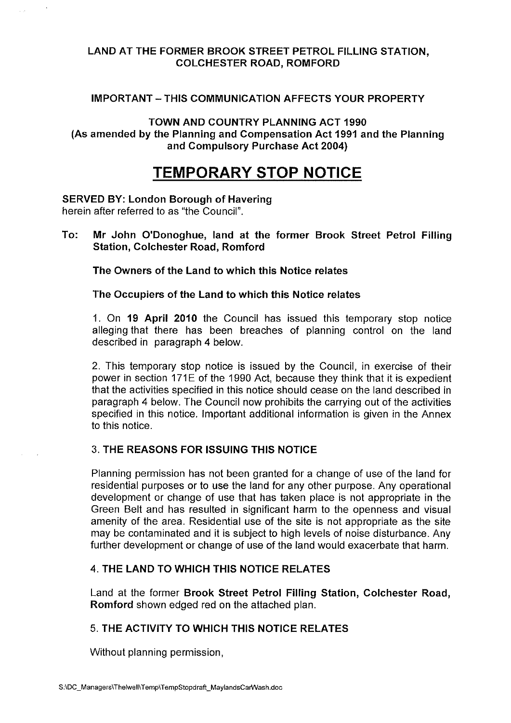### LAND AT THE FORMER BROOK STREET PETROL FILLING STATION, COLCHESTER ROAD, ROMFORD

#### IMPORTANT - THIS COMMUNICATION AFFECTS YOUR PROPERTY

TOWN AND COUNTRY PLANNING ACT 1990 (As amended by the Planning and Compensation Act 1991 and the Planning and Compulsory Purchase Act 2004)

## **TEMPORARY STOP NOTICE**

#### **SERVED BY: London Borough of Havering**  herein after referred to as "the Council".

To: **Mr** John O'Donoghue, land at the former Brook Street Petrol Filling **Station, Colchester Road, Romford** 

**The Owners of the Land to which this Notice relates** 

#### **The Occupiers of the Land to which this Notice relates**

1. On **19 April 2010** the Council has issued this temporary stop notice alleging that there has been breaches of planning control on the land described in paragraph **4** below.

2. This temporary stop notice is issued by the Council, in exercise of their power in section 171E of the 1990 Act, because they think that it is expedient that the activities specified in this notice should cease on the land described in paragraph 4 below. The Council now prohibits the carrying out of the activities specified in this notice. Important additional information is given in the Annex to this notice.

#### 3. **THE REASONS FOR ISSUING THIS NOTICE**

Planning permission has not been granted for a change of use of the land for residential purposes or to use the land for any other purpose. Any operational development or change of use that has taken place is not appropriate in the Green Belt and has resulted in significant harm to the openness and visual amenity of the area. Residential use of the site is not appropriate as the site may be contaminated and it is subject to high levels of noise disturbance. Any further development or change of use of the land would exacerbate that harm.

#### 4. **THE LAND TO WHICH THIS NOTICE RELATES**

Land at the former **Brook Street Petrol Filling Station, Colchester Road, Romford** shown edged red on the attached plan.

### 5. **THE ACTIVITY TO WHICH THIS NOTICE RELATES**

Without planning permission,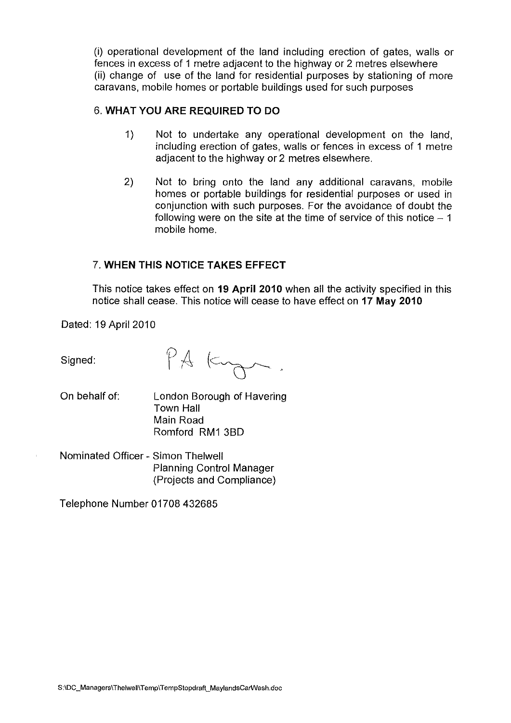(i) operational development of the land including erection of gates, walls or fences in excess of 1 metre adjacent to the highway or 2 metres elsewhere (ii) change of use of the land for residential purposes by stationing of more caravans, mobile homes or portable buildings used for such purposes

## 6. **WHAT YOU ARE REQUIRED TO DO**

- 1) Not to undertake any operational development on the land, including erection of gates, walls or fences in excess of 1 metre adjacent to the highway or 2 metres elsewhere.
- 2) Not to bring onto the land any additional caravans, mobile homes or portable buildings for residential purposes or used in conjunction with such purposes. For the avoidance of doubt the following were on the site at the time of service of this notice  $-1$ mobile home.

## 7. **WHEN THIS NOTICE TAKES EFFECT**

This notice takes effect on **19 April 2010** when all the activity specified in this notice shall cease. This notice will cease to have effect on **17 May 2010** 

Dated: 19 April 2010

Signed:

PA Ky

- On behalf of: London Borough of Havering Town Hall Main Road Romford RM1 3BD
- Nominated Officer Simon Thelwell Planning Control Manager (Projects and Compliance)

Telephone Number 01708 432685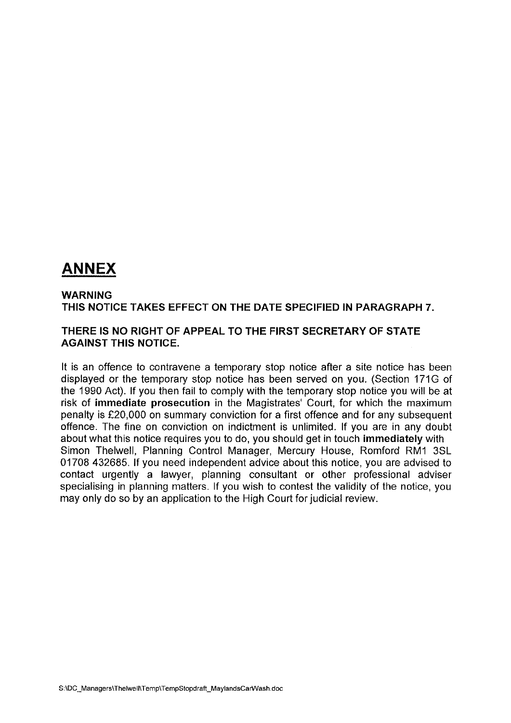# **ANNEX**

#### **WARNING THIS NOTICE TAKES EFFECT ON THE DATE SPECIFIED IN PARAGRAPH 7.**

#### **THERE IS NO RIGHT OF APPEAL TO THE FIRST SECRETARY OF STATE AGAINST THIS NOTICE.**

It is an offence to contravene a temporary stop notice after a site notice has been displayed or the temporary stop notice has been served on you. (Section 171G of the 1990 Act). If you then fail to comply with the temporary stop notice you will be at risk of **immediate prosecution** in the Magistrates' Court, for which the maximum penalty is £20,000 on summary conviction for a first offence and for any subsequent offence. The fine on conviction on indictment is unlimited. If you are in any doubt about what this notice requires you to do, you should get in touch **immediately** with Simon Thelwell, Planning Control Manager, Mercury House, Romford RM1 3SL 01708 432685. If you need independent advice about this notice, you are advised to contact urgently a lawyer, planning consultant or other professional adviser specialising in planning matters. If you wish to contest the validity of the notice, you may only do so by an application to the High Court for judicial review.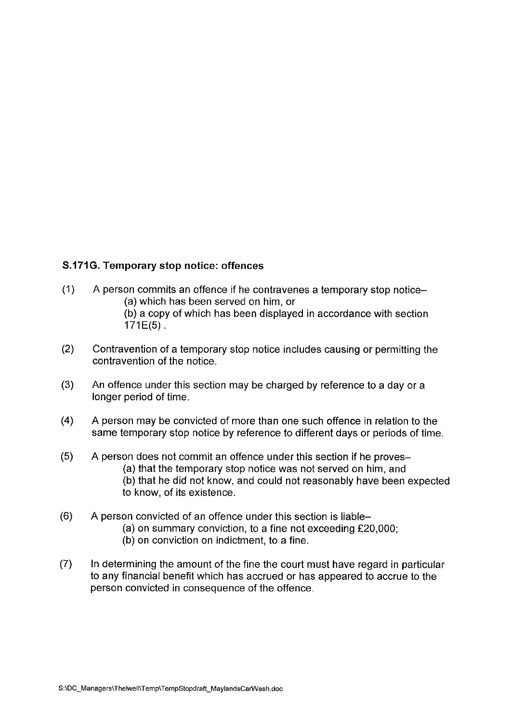## **S.171G. Temporary stop notice: offences**

- (1) A person commits an offence if he contravenes a temporary stop notice- (a) which has been served on him, or (b) a copy of which has been displayed in accordance with section
	- 171E(5).
- (2) Contravention of a temporary stop notice includes causing or permitting the contravention of the notice.
- (3) An offence under this section may be charged by reference to a day or a longer period of time.
- **(4)** A person may be convicted of more than one such offence in relation to the same temporary stop notice by reference to different days or periods of time.
- (5) A person does not commit an offence under this section if he proves- (a) that the temporary stop notice was not served on him, and (b) that he did not know, and could not reasonably have been expected to know, of its existence.
- (6) A person convicted of an offence under this section is liable-
	- (a) on summary conviction, to a fine not exceeding £20,000;
	- (b) on conviction on indictment, to a fine.
- (7) In determining the amount of the fine the court must have regard in particular to any financial benefit which has accrued or has appeared to accrue to the person convicted in consequence of the offence.